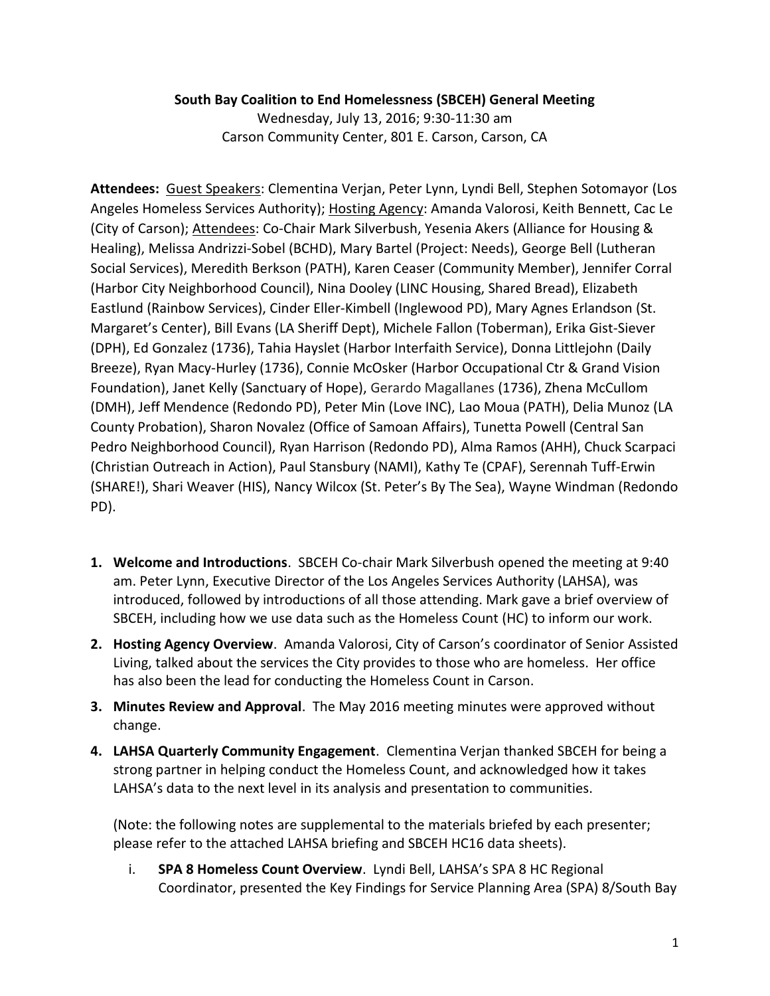## **South Bay Coalition to End Homelessness (SBCEH) General Meeting**

Wednesday, July 13, 2016; 9:30-11:30 am Carson Community Center, 801 E. Carson, Carson, CA

**Attendees:** Guest Speakers: Clementina Verjan, Peter Lynn, Lyndi Bell, Stephen Sotomayor (Los Angeles Homeless Services Authority); Hosting Agency: Amanda Valorosi, Keith Bennett, Cac Le (City of Carson); Attendees: Co-Chair Mark Silverbush, Yesenia Akers (Alliance for Housing & Healing), Melissa Andrizzi-Sobel (BCHD), Mary Bartel (Project: Needs), George Bell (Lutheran Social Services), Meredith Berkson (PATH), Karen Ceaser (Community Member), Jennifer Corral (Harbor City Neighborhood Council), Nina Dooley (LINC Housing, Shared Bread), Elizabeth Eastlund (Rainbow Services), Cinder Eller-Kimbell (Inglewood PD), Mary Agnes Erlandson (St. Margaret's Center), Bill Evans (LA Sheriff Dept), Michele Fallon (Toberman), Erika Gist-Siever (DPH), Ed Gonzalez (1736), Tahia Hayslet (Harbor Interfaith Service), Donna Littlejohn (Daily Breeze), Ryan Macy-Hurley (1736), Connie McOsker (Harbor Occupational Ctr & Grand Vision Foundation), Janet Kelly (Sanctuary of Hope), Gerardo Magallanes (1736), Zhena McCullom (DMH), Jeff Mendence (Redondo PD), Peter Min (Love INC), Lao Moua (PATH), Delia Munoz (LA County Probation), Sharon Novalez (Office of Samoan Affairs), Tunetta Powell (Central San Pedro Neighborhood Council), Ryan Harrison (Redondo PD), Alma Ramos (AHH), Chuck Scarpaci (Christian Outreach in Action), Paul Stansbury (NAMI), Kathy Te (CPAF), Serennah Tuff-Erwin (SHARE!), Shari Weaver (HIS), Nancy Wilcox (St. Peter's By The Sea), Wayne Windman (Redondo PD).

- **1. Welcome and Introductions**. SBCEH Co-chair Mark Silverbush opened the meeting at 9:40 am. Peter Lynn, Executive Director of the Los Angeles Services Authority (LAHSA), was introduced, followed by introductions of all those attending. Mark gave a brief overview of SBCEH, including how we use data such as the Homeless Count (HC) to inform our work.
- **2. Hosting Agency Overview**. Amanda Valorosi, City of Carson's coordinator of Senior Assisted Living, talked about the services the City provides to those who are homeless. Her office has also been the lead for conducting the Homeless Count in Carson.
- **3. Minutes Review and Approval**. The May 2016 meeting minutes were approved without change.
- **4. LAHSA Quarterly Community Engagement**. Clementina Verjan thanked SBCEH for being a strong partner in helping conduct the Homeless Count, and acknowledged how it takes LAHSA's data to the next level in its analysis and presentation to communities.

(Note: the following notes are supplemental to the materials briefed by each presenter; please refer to the attached LAHSA briefing and SBCEH HC16 data sheets).

i. **SPA 8 Homeless Count Overview**. Lyndi Bell, LAHSA's SPA 8 HC Regional Coordinator, presented the Key Findings for Service Planning Area (SPA) 8/South Bay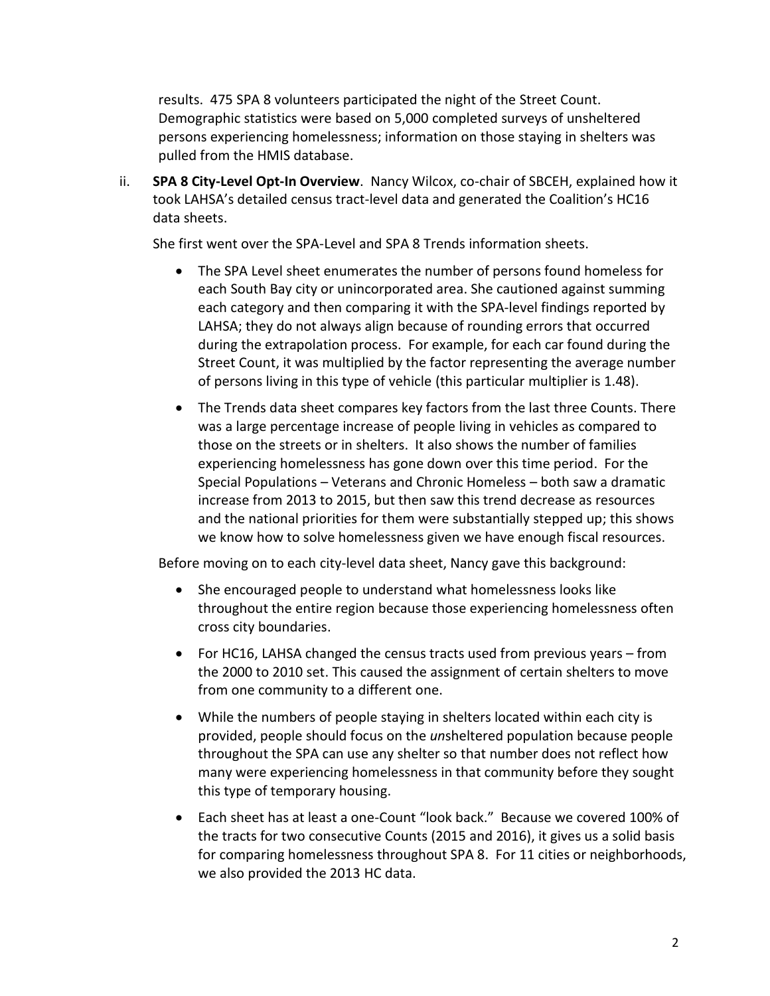results. 475 SPA 8 volunteers participated the night of the Street Count. Demographic statistics were based on 5,000 completed surveys of unsheltered persons experiencing homelessness; information on those staying in shelters was pulled from the HMIS database.

ii. **SPA 8 City-Level Opt-In Overview**. Nancy Wilcox, co-chair of SBCEH, explained how it took LAHSA's detailed census tract-level data and generated the Coalition's HC16 data sheets.

She first went over the SPA-Level and SPA 8 Trends information sheets.

- The SPA Level sheet enumerates the number of persons found homeless for each South Bay city or unincorporated area. She cautioned against summing each category and then comparing it with the SPA-level findings reported by LAHSA; they do not always align because of rounding errors that occurred during the extrapolation process. For example, for each car found during the Street Count, it was multiplied by the factor representing the average number of persons living in this type of vehicle (this particular multiplier is 1.48).
- The Trends data sheet compares key factors from the last three Counts. There was a large percentage increase of people living in vehicles as compared to those on the streets or in shelters. It also shows the number of families experiencing homelessness has gone down over this time period. For the Special Populations – Veterans and Chronic Homeless – both saw a dramatic increase from 2013 to 2015, but then saw this trend decrease as resources and the national priorities for them were substantially stepped up; this shows we know how to solve homelessness given we have enough fiscal resources.

Before moving on to each city-level data sheet, Nancy gave this background:

- She encouraged people to understand what homelessness looks like throughout the entire region because those experiencing homelessness often cross city boundaries.
- For HC16, LAHSA changed the census tracts used from previous years from the 2000 to 2010 set. This caused the assignment of certain shelters to move from one community to a different one.
- While the numbers of people staying in shelters located within each city is provided, people should focus on the *un*sheltered population because people throughout the SPA can use any shelter so that number does not reflect how many were experiencing homelessness in that community before they sought this type of temporary housing.
- Each sheet has at least a one-Count "look back." Because we covered 100% of the tracts for two consecutive Counts (2015 and 2016), it gives us a solid basis for comparing homelessness throughout SPA 8. For 11 cities or neighborhoods, we also provided the 2013 HC data.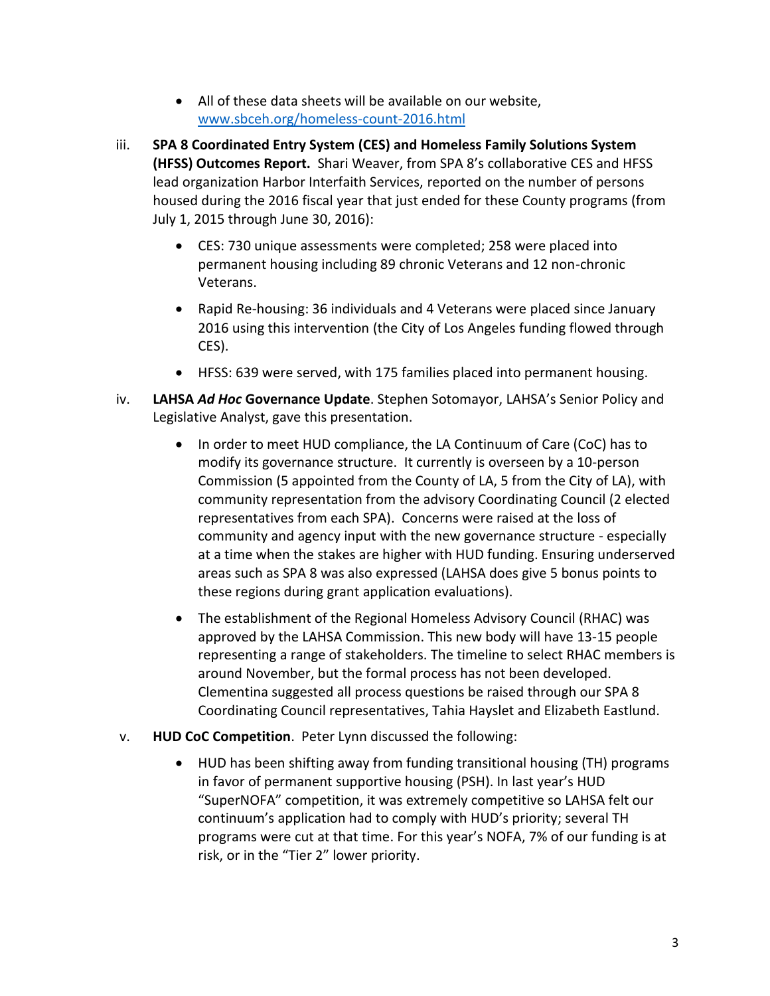- All of these data sheets will be available on our website, <www.sbceh.org/homeless-count-2016.html>
- iii. **SPA 8 Coordinated Entry System (CES) and Homeless Family Solutions System (HFSS) Outcomes Report.** Shari Weaver, from SPA 8's collaborative CES and HFSS lead organization Harbor Interfaith Services, reported on the number of persons housed during the 2016 fiscal year that just ended for these County programs (from July 1, 2015 through June 30, 2016):
	- CES: 730 unique assessments were completed; 258 were placed into permanent housing including 89 chronic Veterans and 12 non-chronic Veterans.
	- Rapid Re-housing: 36 individuals and 4 Veterans were placed since January 2016 using this intervention (the City of Los Angeles funding flowed through CES).
	- HFSS: 639 were served, with 175 families placed into permanent housing.
- iv. **LAHSA** *Ad Hoc* **Governance Update**. Stephen Sotomayor, LAHSA's Senior Policy and Legislative Analyst, gave this presentation.
	- In order to meet HUD compliance, the LA Continuum of Care (CoC) has to modify its governance structure. It currently is overseen by a 10-person Commission (5 appointed from the County of LA, 5 from the City of LA), with community representation from the advisory Coordinating Council (2 elected representatives from each SPA). Concerns were raised at the loss of community and agency input with the new governance structure - especially at a time when the stakes are higher with HUD funding. Ensuring underserved areas such as SPA 8 was also expressed (LAHSA does give 5 bonus points to these regions during grant application evaluations).
	- The establishment of the Regional Homeless Advisory Council (RHAC) was approved by the LAHSA Commission. This new body will have 13-15 people representing a range of stakeholders. The timeline to select RHAC members is around November, but the formal process has not been developed. Clementina suggested all process questions be raised through our SPA 8 Coordinating Council representatives, Tahia Hayslet and Elizabeth Eastlund.
- v. **HUD CoC Competition**. Peter Lynn discussed the following:
	- HUD has been shifting away from funding transitional housing (TH) programs in favor of permanent supportive housing (PSH). In last year's HUD "SuperNOFA" competition, it was extremely competitive so LAHSA felt our continuum's application had to comply with HUD's priority; several TH programs were cut at that time. For this year's NOFA, 7% of our funding is at risk, or in the "Tier 2" lower priority.